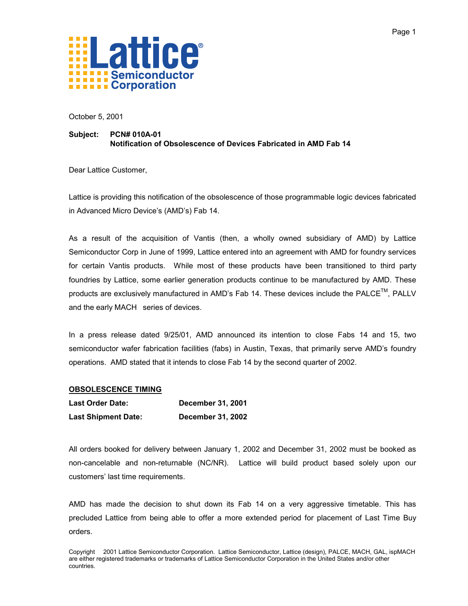

October 5, 2001

#### **Subject: PCN# 010A-01 Notification of Obsolescence of Devices Fabricated in AMD Fab 14**

Dear Lattice Customer,

Lattice is providing this notification of the obsolescence of those programmable logic devices fabricated in Advanced Micro Device's (AMD's) Fab 14.

As a result of the acquisition of Vantis (then, a wholly owned subsidiary of AMD) by Lattice Semiconductor Corp in June of 1999, Lattice entered into an agreement with AMD for foundry services for certain Vantis products. While most of these products have been transitioned to third party foundries by Lattice, some earlier generation products continue to be manufactured by AMD. These products are exclusively manufactured in AMD's Fab 14. These devices include the PALCETM, PALLV and the early MACH series of devices.

In a press release dated 9/25/01, AMD announced its intention to close Fabs 14 and 15, two semiconductor wafer fabrication facilities (fabs) in Austin, Texas, that primarily serve AMD's foundry operations. AMD stated that it intends to close Fab 14 by the second quarter of 2002.

#### **OBSOLESCENCE TIMING**

| <b>Last Order Date:</b>    | <b>December 31, 2001</b> |
|----------------------------|--------------------------|
| <b>Last Shipment Date:</b> | <b>December 31, 2002</b> |

All orders booked for delivery between January 1, 2002 and December 31, 2002 must be booked as non-cancelable and non-returnable (NC/NR). Lattice will build product based solely upon our customers' last time requirements.

AMD has made the decision to shut down its Fab 14 on a very aggressive timetable. This has precluded Lattice from being able to offer a more extended period for placement of Last Time Buy orders.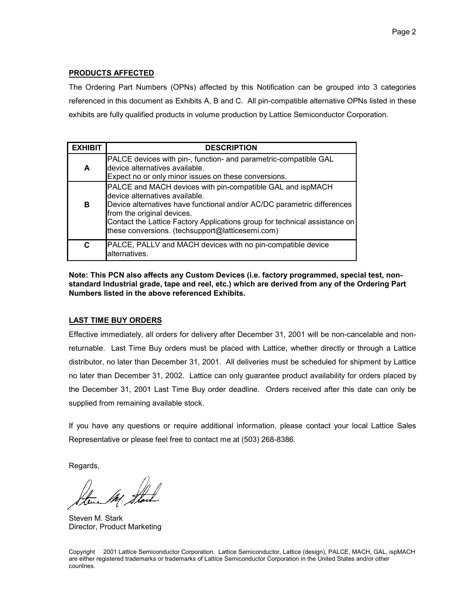## **PRODUCTS AFFECTED**

The Ordering Part Numbers (OPNs) affected by this Notification can be grouped into 3 categories referenced in this document as Exhibits A, B and C. All pin-compatible alternative OPNs listed in these exhibits are fully qualified products in volume production by Lattice Semiconductor Corporation.

| <b>EXHIBIT</b> | <b>DESCRIPTION</b>                                                                                                                                                                                                                                                                                                                      |
|----------------|-----------------------------------------------------------------------------------------------------------------------------------------------------------------------------------------------------------------------------------------------------------------------------------------------------------------------------------------|
| A              | PALCE devices with pin-, function- and parametric-compatible GAL<br>device alternatives available.<br>Expect no or only minor issues on these conversions.                                                                                                                                                                              |
| в              | PALCE and MACH devices with pin-compatible GAL and ispMACH<br>device alternatives available.<br>Device alternatives have functional and/or AC/DC parametric differences<br>from the original devices.<br>Contact the Lattice Factory Applications group for technical assistance on<br>these conversions. (techsupport@latticesemi.com) |
| C              | PALCE, PALLV and MACH devices with no pin-compatible device<br>alternatives.                                                                                                                                                                                                                                                            |

**Note: This PCN also affects any Custom Devices (i.e. factory programmed, special test, nonstandard Industrial grade, tape and reel, etc.) which are derived from any of the Ordering Part Numbers listed in the above referenced Exhibits.**

#### **LAST TIME BUY ORDERS**

Effective immediately, all orders for delivery after December 31, 2001 will be non-cancelable and nonreturnable. Last Time Buy orders must be placed with Lattice, whether directly or through a Lattice distributor, no later than December 31, 2001. All deliveries must be scheduled for shipment by Lattice no later than December 31, 2002. Lattice can only guarantee product availability for orders placed by the December 31, 2001 Last Time Buy order deadline. Orders received after this date can only be supplied from remaining available stock.

If you have any questions or require additional information, please contact your local Lattice Sales Representative or please feel free to contact me at (503) 268-8386.

Regards,

Steven M. Stark Director, Product Marketing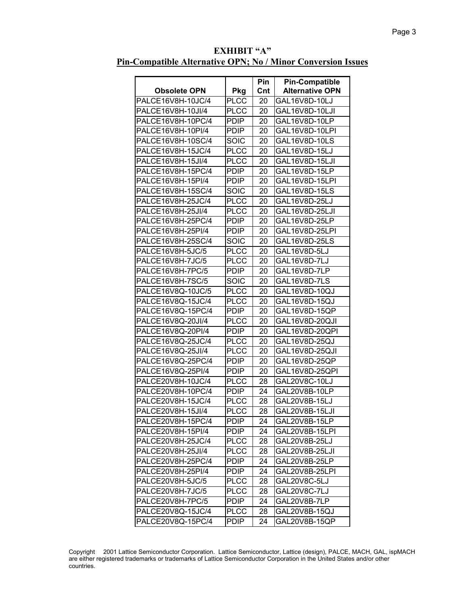| <b>EXHIBIT "A"</b>                                           |  |  |  |  |  |
|--------------------------------------------------------------|--|--|--|--|--|
| Pin-Compatible Alternative OPN; No / Minor Conversion Issues |  |  |  |  |  |

| <b>Obsolete OPN</b>                    |                    | <b>Pin</b><br>Cnt | <b>Pin-Compatible</b><br><b>Alternative OPN</b> |
|----------------------------------------|--------------------|-------------------|-------------------------------------------------|
| PALCE16V8H-10JC/4                      | <b>Pkg</b><br>PLCC | 20                | GAL16V8D-10LJ                                   |
| PALCE16V8H-10JI/4                      | <b>PLCC</b>        | 20                | GAL16V8D-10LJI                                  |
| PALCE16V8H-10PC/4                      | <b>PDIP</b>        | 20                | GAL16V8D-10LP                                   |
| PALCE16V8H-10PI/4                      | <b>PDIP</b>        | 20                | GAL16V8D-10LPI                                  |
| PALCE16V8H-10SC/4                      | SOIC               | 20                | GAL16V8D-10LS                                   |
| PALCE16V8H-15JC/4                      | PLCC               | 20                | GAL16V8D-15LJ                                   |
|                                        | <b>PLCC</b>        |                   | GAL16V8D-15LJI                                  |
| PALCE16V8H-15JI/4<br>PALCE16V8H-15PC/4 | <b>PDIP</b>        | 20                | GAL16V8D-15LP                                   |
|                                        |                    | 20                |                                                 |
| PALCE16V8H-15PI/4                      | <b>PDIP</b>        | 20                | GAL16V8D-15LPI                                  |
| PALCE16V8H-15SC/4                      | <b>SOIC</b>        | 20                | GAL16V8D-15LS                                   |
| PALCE16V8H-25JC/4                      | <b>PLCC</b>        | 20                | GAL16V8D-25LJ                                   |
| PALCE16V8H-25JI/4                      | PLCC               | 20                | GAL16V8D-25LJI                                  |
| PALCE16V8H-25PC/4                      | <b>PDIP</b>        | 20                | GAL16V8D-25LP                                   |
| PALCE16V8H-25PI/4                      | <b>PDIP</b>        | 20                | GAL16V8D-25LPI                                  |
| PALCE16V8H-25SC/4                      | SOIC               | 20                | GAL16V8D-25LS                                   |
| PALCE16V8H-5JC/5                       | <b>PLCC</b>        | 20                | GAL16V8D-5LJ                                    |
| PALCE16V8H-7JC/5                       | <b>PLCC</b>        | 20                | GAL16V8D-7LJ                                    |
| PALCE16V8H-7PC/5                       | <b>PDIP</b>        | 20                | GAL16V8D-7LP                                    |
| PALCE16V8H-7SC/5                       | SOIC               | 20                | GAL16V8D-7LS                                    |
| PALCE16V8Q-10JC/5                      | <b>PLCC</b>        | 20                | GAL16V8D-10QJ                                   |
| PALCE16V8Q-15JC/4                      | PLCC               | 20                | GAL16V8D-15QJ                                   |
| PALCE16V8Q-15PC/4                      | <b>PDIP</b>        | 20                | GAL16V8D-15QP                                   |
| PALCE16V8Q-20JI/4                      | <b>PLCC</b>        | 20                | GAL16V8D-20QJI                                  |
| PALCE16V8Q-20PI/4                      | <b>PDIP</b>        | 20                | GAL16V8D-20QPI                                  |
| PALCE16V8Q-25JC/4                      | <b>PLCC</b>        | 20                | GAL16V8D-25QJ                                   |
| PALCE16V8Q-25JI/4                      | <b>PLCC</b>        | 20                | GAL16V8D-25QJI                                  |
| PALCE16V8Q-25PC/4                      | <b>PDIP</b>        | 20                | GAL16V8D-25QP                                   |
| PALCE16V8Q-25PI/4                      | <b>PDIP</b>        | 20                | GAL16V8D-25QPI                                  |
| PALCE20V8H-10JC/4                      | PLCC               | 28                | GAL20V8C-10LJ                                   |
| PALCE20V8H-10PC/4                      | <b>PDIP</b>        | 24                | GAL20V8B-10LP                                   |
| PALCE20V8H-15JC/4                      | <b>PLCC</b>        | 28                | GAL20V8B-15LJ                                   |
| PALCE20V8H-15JI/4                      | <b>PLCC</b>        | 28                | GAL20V8B-15LJI                                  |
| PALCE20V8H-15PC/4                      | <b>PDIP</b>        | 24                | GAL20V8B-15LP                                   |
| PALCE20V8H-15PI/4                      | <b>PDIP</b>        | 24                | GAL20V8B-15LPI                                  |
| PALCE20V8H-25JC/4                      | <b>PLCC</b>        | 28                | GAL20V8B-25LJ                                   |
| PALCE20V8H-25JI/4                      | <b>PLCC</b>        | 28                | GAL20V8B-25LJI                                  |
| PALCE20V8H-25PC/4                      | <b>PDIP</b>        | 24                | GAL20V8B-25LP                                   |
| PALCE20V8H-25PI/4                      | PDIP               | 24                | GAL20V8B-25LPI                                  |
| PALCE20V8H-5JC/5                       | <b>PLCC</b>        | 28                | GAL20V8C-5LJ                                    |
| PALCE20V8H-7JC/5                       | PLCC               | 28                | GAL20V8C-7LJ                                    |
| PALCE20V8H-7PC/5                       | <b>PDIP</b>        | 24                | GAL20V8B-7LP                                    |
| PALCE20V8Q-15JC/4                      | <b>PLCC</b>        | 28                | GAL20V8B-15QJ                                   |
| PALCE20V8Q-15PC/4                      | <b>PDIP</b>        | 24                | GAL20V8B-15QP                                   |
|                                        |                    |                   |                                                 |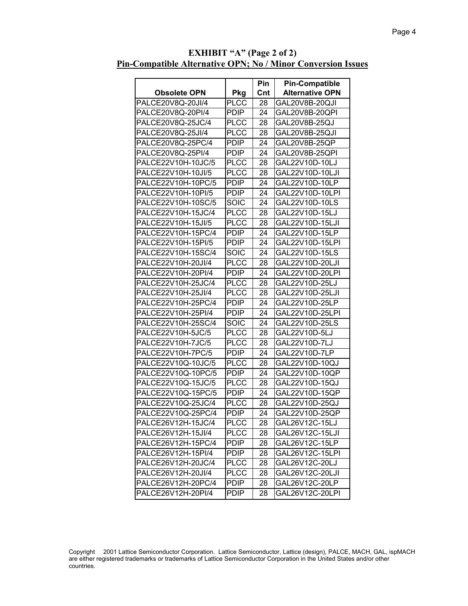|                     |             | Pin | <b>Pin-Compatible</b><br><b>Alternative OPN</b> |
|---------------------|-------------|-----|-------------------------------------------------|
| <b>Obsolete OPN</b> | Pkg         | Cnt |                                                 |
| PALCE20V8Q-20JI/4   | <b>PLCC</b> | 28  | GAL20V8B-20QJI                                  |
| PALCE20V8Q-20PI/4   | <b>PDIP</b> | 24  | GAL20V8B-20QPI                                  |
| PALCE20V8Q-25JC/4   | <b>PLCC</b> | 28  | GAL20V8B-25QJ                                   |
| PALCE20V8Q-25JI/4   | <b>PLCC</b> | 28  | GAL20V8B-25QJI                                  |
| PALCE20V8Q-25PC/4   | <b>PDIP</b> | 24  | GAL20V8B-25QP                                   |
| PALCE20V8Q-25PI/4   | <b>PDIP</b> | 24  | GAL20V8B-25QPI                                  |
| PALCE22V10H-10JC/5  | <b>PLCC</b> | 28  | GAL22V10D-10LJ                                  |
| PALCE22V10H-10JI/5  | <b>PLCC</b> | 28  | GAL22V10D-10LJI                                 |
| PALCE22V10H-10PC/5  | <b>PDIP</b> | 24  | GAL22V10D-10LP                                  |
| PALCE22V10H-10PI/5  | <b>PDIP</b> | 24  | GAL22V10D-10LPI                                 |
| PALCE22V10H-10SC/5  | SOIC        | 24  | GAL22V10D-10LS                                  |
| PALCE22V10H-15JC/4  | <b>PLCC</b> | 28  | GAL22V10D-15LJ                                  |
| PALCE22V10H-15JI/5  | <b>PLCC</b> | 28  | GAL22V10D-15LJI                                 |
| PALCE22V10H-15PC/4  | <b>PDIP</b> | 24  | GAL22V10D-15LP                                  |
| PALCE22V10H-15PI/5  | <b>PDIP</b> | 24  | GAL22V10D-15LPI                                 |
| PALCE22V10H-15SC/4  | SOIC        | 24  | GAL22V10D-15LS                                  |
| PALCE22V10H-20JI/4  | <b>PLCC</b> | 28  | GAL22V10D-20LJI                                 |
| PALCE22V10H-20PI/4  | <b>PDIP</b> | 24  | GAL22V10D-20LPI                                 |
| PALCE22V10H-25JC/4  | <b>PLCC</b> | 28  | GAL22V10D-25LJ                                  |
| PALCE22V10H-25JI/4  | <b>PLCC</b> | 28  | GAL22V10D-25LJI                                 |
| PALCE22V10H-25PC/4  | <b>PDIP</b> | 24  | GAL22V10D-25LP                                  |
| PALCE22V10H-25PI/4  | <b>PDIP</b> | 24  | GAL22V10D-25LPI                                 |
| PALCE22V10H-25SC/4  | <b>SOIC</b> | 24  | GAL22V10D-25LS                                  |
| PALCE22V10H-5JC/5   | <b>PLCC</b> | 28  | GAL22V10D-5LJ                                   |
| PALCE22V10H-7JC/5   | <b>PLCC</b> | 28  | GAL22V10D-7LJ                                   |
| PALCE22V10H-7PC/5   | <b>PDIP</b> | 24  | GAL22V10D-7LP                                   |
| PALCE22V10Q-10JC/5  | <b>PLCC</b> | 28  | GAL22V10D-10QJ                                  |
| PALCE22V10Q-10PC/5  | <b>PDIP</b> | 24  | GAL22V10D-10QP                                  |
| PALCE22V10Q-15JC/5  | <b>PLCC</b> | 28  | GAL22V10D-15QJ                                  |
| PALCE22V10Q-15PC/5  | <b>PDIP</b> | 24  | GAL22V10D-15QP                                  |
| PALCE22V10Q-25JC/4  | <b>PLCC</b> | 28  | GAL22V10D-25QJ                                  |
| PALCE22V10Q-25PC/4  | <b>PDIP</b> | 24  | GAL22V10D-25QP                                  |
| PALCE26V12H-15JC/4  | <b>PLCC</b> | 28  | GAL26V12C-15LJ                                  |
| PALCE26V12H-15JI/4  | <b>PLCC</b> | 28  | GAL26V12C-15LJI                                 |
| PALCE26V12H-15PC/4  | <b>PDIP</b> | 28  | GAL26V12C-15LP                                  |
| PALCE26V12H-15PI/4  | <b>PDIP</b> | 28  | GAL26V12C-15LPI                                 |
| PALCE26V12H-20JC/4  | <b>PLCC</b> | 28  | GAL26V12C-20LJ                                  |
| PALCE26V12H-20JI/4  | <b>PLCC</b> | 28  | GAL26V12C-20LJI                                 |
| PALCE26V12H-20PC/4  | <b>PDIP</b> | 28  | GAL26V12C-20LP                                  |
| PALCE26V12H-20PI/4  | <b>PDIP</b> | 28  | GAL26V12C-20LPI                                 |
|                     |             |     |                                                 |

**EXHIBIT "A" (Page 2 of 2) Pin-Compatible Alternative OPN; No / Minor Conversion Issues**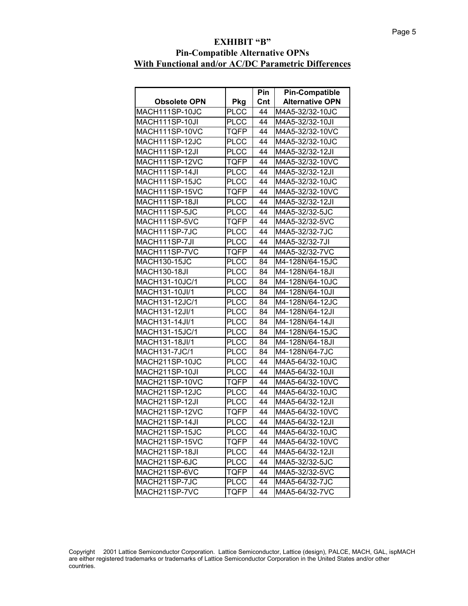## **EXHIBIT "B" Pin-Compatible Alternative OPNs With Functional and/or AC/DC Parametric Differences**

|                      |             | <b>Pin</b> | <b>Pin-Compatible</b>  |
|----------------------|-------------|------------|------------------------|
| <b>Obsolete OPN</b>  | <b>Pkg</b>  | Cnt        | <b>Alternative OPN</b> |
| MACH111SP-10JC       | <b>PLCC</b> | 44         | M4A5-32/32-10JC        |
| MACH111SP-10JI       | <b>PLCC</b> | 44         | M4A5-32/32-10JI        |
| MACH111SP-10VC       | TQFP        | 44         | M4A5-32/32-10VC        |
| MACH111SP-12JC       | <b>PLCC</b> | 44         | M4A5-32/32-10JC        |
| MACH111SP-12JI       | <b>PLCC</b> | 44         | M4A5-32/32-12JI        |
| MACH111SP-12VC       | TQFP        | 44         | M4A5-32/32-10VC        |
| MACH111SP-14JI       | <b>PLCC</b> | 44         | M4A5-32/32-12JI        |
| MACH111SP-15JC       | <b>PLCC</b> | 44         | M4A5-32/32-10JC        |
| MACH111SP-15VC       | <b>TQFP</b> | 44         | M4A5-32/32-10VC        |
| MACH111SP-18JI       | <b>PLCC</b> | 44         | M4A5-32/32-12JI        |
| MACH111SP-5JC        | <b>PLCC</b> | 44         | M4A5-32/32-5JC         |
| MACH111SP-5VC        | TQFP        | 44         | M4A5-32/32-5VC         |
| MACH111SP-7JC        | <b>PLCC</b> | 44         | M4A5-32/32-7JC         |
| MACH111SP-7JI        | <b>PLCC</b> | 44         | M4A5-32/32-7JI         |
| MACH111SP-7VC        | TQFP        | 44         | M4A5-32/32-7VC         |
| <b>MACH130-15JC</b>  | <b>PLCC</b> | 84         | M4-128N/64-15JC        |
| <b>MACH130-18JI</b>  | <b>PLCC</b> | 84         | M4-128N/64-18JI        |
| MACH131-10JC/1       | <b>PLCC</b> | 84         | M4-128N/64-10JC        |
| MACH131-10JI/1       | <b>PLCC</b> | 84         | M4-128N/64-10JI        |
| MACH131-12JC/1       | <b>PLCC</b> | 84         | M4-128N/64-12JC        |
| MACH131-12JI/1       | <b>PLCC</b> | 84         | M4-128N/64-12JI        |
| MACH131-14JI/1       | <b>PLCC</b> | 84         | M4-128N/64-14JI        |
| MACH131-15JC/1       | <b>PLCC</b> | 84         | M4-128N/64-15JC        |
| MACH131-18JI/1       | <b>PLCC</b> | 84         | M4-128N/64-18JI        |
| <b>MACH131-7JC/1</b> | <b>PLCC</b> | 84         | M4-128N/64-7JC         |
| MACH211SP-10JC       | <b>PLCC</b> | 44         | M4A5-64/32-10JC        |
| MACH211SP-10JI       | <b>PLCC</b> | 44         | M4A5-64/32-10JI        |
| MACH211SP-10VC       | TQFP        | 44         | M4A5-64/32-10VC        |
| MACH211SP-12JC       | <b>PLCC</b> | 44         | M4A5-64/32-10JC        |
| MACH211SP-12JI       | <b>PLCC</b> | 44         | M4A5-64/32-12JI        |
| MACH211SP-12VC       | <b>TQFP</b> | 44         | M4A5-64/32-10VC        |
| MACH211SP-14JI       | <b>PLCC</b> | 44         | M4A5-64/32-12JI        |
| MACH211SP-15JC       | <b>PLCC</b> | 44         | M4A5-64/32-10JC        |
| MACH211SP-15VC       | <b>TQFP</b> | 44         | M4A5-64/32-10VC        |
| MACH211SP-18JI       | <b>PLCC</b> | 44         | M4A5-64/32-12JI        |
| MACH211SP-6JC        | <b>PLCC</b> | 44         | M4A5-32/32-5JC         |
| MACH211SP-6VC        | TQFP        | 44         | M4A5-32/32-5VC         |
| MACH211SP-7JC        | <b>PLCC</b> | 44         | M4A5-64/32-7JC         |
| MACH211SP-7VC        | TQFP        | 44         | M4A5-64/32-7VC         |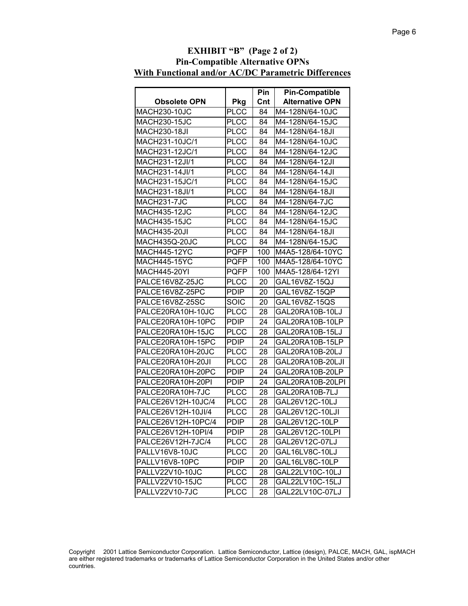| <b>Pin-Compatible Alternative OPNs</b><br>With Functional and/or AC/DC Parametric Differences |             |            |                                                 |  |
|-----------------------------------------------------------------------------------------------|-------------|------------|-------------------------------------------------|--|
|                                                                                               |             |            |                                                 |  |
| <b>Obsolete OPN</b>                                                                           | Pkg         | Pin<br>Cnt | <b>Pin-Compatible</b><br><b>Alternative OPN</b> |  |
| <b>MACH230-10JC</b>                                                                           | <b>PLCC</b> | 84         | M4-128N/64-10JC                                 |  |
| <b>MACH230-15JC</b>                                                                           | <b>PLCC</b> | 84         | M4-128N/64-15JC                                 |  |
| <b>MACH230-18JI</b>                                                                           | <b>PLCC</b> | 84         | M4-128N/64-18JI                                 |  |
| MACH231-10JC/1                                                                                | <b>PLCC</b> | 84         | M4-128N/64-10JC                                 |  |
| MACH231-12JC/1                                                                                | <b>PLCC</b> | 84         | M4-128N/64-12JC                                 |  |
| MACH231-12JI/1                                                                                | PLCC        | 84         | M4-128N/64-12JI                                 |  |
| MACH231-14JI/1                                                                                | <b>PLCC</b> | 84         | M4-128N/64-14JI                                 |  |
| MACH231-15JC/1                                                                                | <b>PLCC</b> | 84         | M4-128N/64-15JC                                 |  |
| MACH231-18JI/1                                                                                | <b>PLCC</b> | 84         | M4-128N/64-18JI                                 |  |
| MACH231-7JC                                                                                   | <b>PLCC</b> | 84         | M4-128N/64-7JC                                  |  |
| <b>MACH435-12JC</b>                                                                           | <b>PLCC</b> | 84         | M4-128N/64-12JC                                 |  |
| <b>MACH435-15JC</b>                                                                           | <b>PLCC</b> | 84         | M4-128N/64-15JC                                 |  |
| <b>MACH435-20JI</b>                                                                           | <b>PLCC</b> | 84         | M4-128N/64-18JI                                 |  |
| MACH435Q-20JC                                                                                 | <b>PLCC</b> | 84         | M4-128N/64-15JC                                 |  |
| <b>MACH445-12YC</b>                                                                           | <b>PQFP</b> | 100        | M4A5-128/64-10YC                                |  |
| MACH445-15YC                                                                                  | <b>PQFP</b> | 100        | M4A5-128/64-10YC                                |  |
| MACH445-20YI                                                                                  | PQFP        | 100        | M4A5-128/64-12YI                                |  |
| PALCE16V8Z-25JC                                                                               | <b>PLCC</b> | 20         | GAL16V8Z-15QJ                                   |  |
| PALCE16V8Z-25PC                                                                               | <b>PDIP</b> | 20         | GAL16V8Z-15QP                                   |  |
| PALCE16V8Z-25SC                                                                               | SOIC        | 20         | GAL16V8Z-15QS                                   |  |
| PALCE20RA10H-10JC                                                                             | <b>PLCC</b> | 28         | GAL20RA10B-10LJ                                 |  |
| PALCE20RA10H-10PC                                                                             | <b>PDIP</b> | 24         | GAL20RA10B-10LP                                 |  |
| PALCE20RA10H-15JC                                                                             | <b>PLCC</b> | 28         | GAL20RA10B-15LJ                                 |  |
| PALCE20RA10H-15PC                                                                             | <b>PDIP</b> | 24         | GAL20RA10B-15LP                                 |  |
| PALCE20RA10H-20JC                                                                             | <b>PLCC</b> | 28         | GAL20RA10B-20LJ                                 |  |
| PALCE20RA10H-20JI                                                                             | <b>PLCC</b> | 28         | GAL20RA10B-20LJI                                |  |
| PALCE20RA10H-20PC                                                                             | <b>PDIP</b> | 24         | GAL20RA10B-20LP                                 |  |
| PALCE20RA10H-20PI                                                                             | PDIP        | 24         | GAL20RA10B-20LPI                                |  |
| PALCE20RA10H-7JC                                                                              | <b>PLCC</b> | 28         | GAL20RA10B-7LJ                                  |  |
| PALCE26V12H-10JC/4                                                                            | <b>PLCC</b> | 28         | GAL26V12C-10LJ                                  |  |
| PALCE26V12H-10JI/4                                                                            | <b>PLCC</b> | 28         | GAL26V12C-10LJI                                 |  |
| PALCE26V12H-10PC/4                                                                            | <b>PDIP</b> | 28         | GAL26V12C-10LP                                  |  |
| PALCE26V12H-10PI/4                                                                            | <b>PDIP</b> | 28         | GAL26V12C-10LPI                                 |  |
| PALCE26V12H-7JC/4                                                                             | <b>PLCC</b> | 28         | GAL26V12C-07LJ                                  |  |
| PALLV16V8-10JC                                                                                | <b>PLCC</b> | 20         | GAL16LV8C-10LJ                                  |  |
| PALLV16V8-10PC                                                                                | <b>PDIP</b> | 20         | GAL16LV8C-10LP                                  |  |
| PALLV22V10-10JC                                                                               | <b>PLCC</b> | 28         | GAL22LV10C-10LJ                                 |  |
| PALLV22V10-15JC                                                                               | <b>PLCC</b> | 28         | GAL22LV10C-15LJ                                 |  |
| PALLV22V10-7JC                                                                                | <b>PLCC</b> | 28         | GAL22LV10C-07LJ                                 |  |

# **EXHIBIT "B" (Page 2 of 2) Pin-Compatible Alternative OPNs**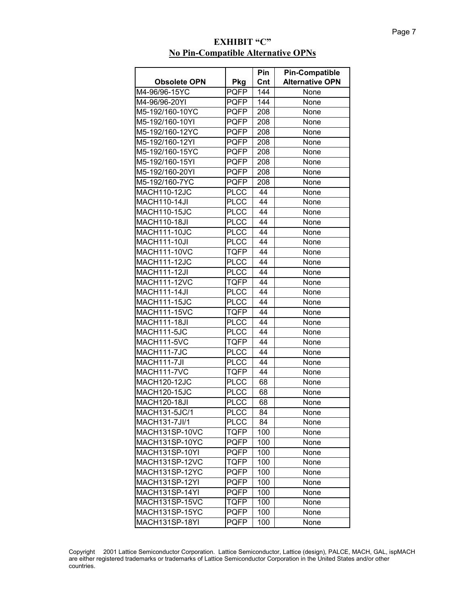### **Obsolete OPN** Pkg **Pin Cnt Pin-Compatible Alternative OPN** M4-96/96-15YC PQFP 144 None M4-96/96-20YI PQFP 144 None M5-192/160-10YC PQFP 208 None M5-192/160-10YI PQFP 208 None M5-192/160-12YC PQFP 208 None M5-192/160-12YI PQFP 208 None M5-192/160-15YC PQFP 208 None M5-192/160-15YI PQFP 208 None M5-192/160-20YI PQFP 208 None M5-192/160-7YC PQFP 208 None MACH110-12JC PLCC 44 None MACH110-14JI PLCC 44 None MACH110-15JC PLCC 44 None MACH110-18JI PLCC 44 None MACH111-10JC PLCC 44 None MACH111-10JI | PLCC | 44 | None MACH111-10VC TQFP 44 None MACH111-12JC PLCC 44 None MACH111-12JI PLCC 44 None MACH111-12VC TQFP 44 None MACH111-14JI PLCC 44 None MACH111-15JC PLCC 44 None MACH111-15VC TQFP 44 None MACH111-18JI PLCC 44 None MACH111-5JC PLCC 44 None MACH111-5VC TQFP 44 None MACH111-7JC PLCC 44 None MACH111-7JI |PLCC | 44 | None MACH111-7VC TQFP 44 None MACH120-12JC PLCC 68 None MACH120-15JC | PLCC | 68 | None MACH120-18JI | PLCC | 68 | None MACH131-5JC/1 PLCC 84 None MACH131-7JI/1 PLCC 84 None MACH131SP-10VC TQFP 100 None MACH131SP-10YC PQFP 100 None MACH131SP-10YI | PQFP | 100 | None MACH131SP-12VC | TQFP | 100 | None MACH131SP-12YC PQFP 100 MACH131SP-12YI | PQFP | 100 | None MACH131SP-14YI | PQFP | 100 | None MACH131SP-15VC TQFP 100 None MACH131SP-15YC PQFP 100 MACH131SP-18YI | PQFP 100 None

#### **EXHIBIT "C" No Pin-Compatible Alternative OPNs**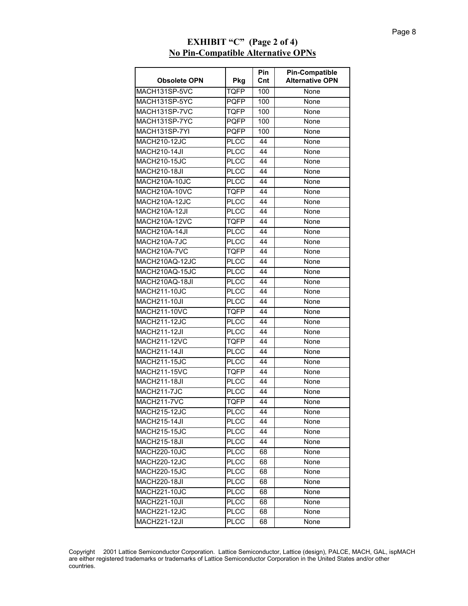| <b>Obsolete OPN</b>  | Pkg         | Pin<br>Cnt | <b>Pin-Compatible</b><br><b>Alternative OPN</b> |
|----------------------|-------------|------------|-------------------------------------------------|
| MACH131SP-5VC        | <b>TQFP</b> | 100        | None                                            |
| MACH131SP-5YC        | <b>PQFP</b> | 100        | None                                            |
| MACH131SP-7VC        | TQFP        | 100        | None                                            |
| MACH131SP-7YC        | <b>PQFP</b> | 100        | None                                            |
| MACH131SP-7YI        | <b>PQFP</b> | 100        | None                                            |
| <b>MACH210-12JC</b>  | <b>PLCC</b> | 44         | None                                            |
| <b>MACH210-14JI</b>  | <b>PLCC</b> | 44         | None                                            |
| <b>MACH210-15JC</b>  | <b>PLCC</b> | 44         | None                                            |
| <b>MACH210-18JI</b>  | <b>PLCC</b> | 44         | None                                            |
| MACH210A-10JC        | <b>PLCC</b> | 44         | None                                            |
| MACH210A-10VC        | <b>TQFP</b> | 44         | None                                            |
| <b>MACH210A-12JC</b> | <b>PLCC</b> | 44         | None                                            |
| <b>MACH210A-12JI</b> | <b>PLCC</b> | 44         | None                                            |
| MACH210A-12VC        | <b>TQFP</b> | 44         | None                                            |
| <b>MACH210A-14JI</b> | <b>PLCC</b> | 44         | None                                            |
| MACH210A-7JC         | <b>PLCC</b> | 44         | None                                            |
| MACH210A-7VC         | <b>TQFP</b> | 44         | None                                            |
| MACH210AQ-12JC       | <b>PLCC</b> | 44         | None                                            |
| MACH210AQ-15JC       | <b>PLCC</b> | 44         | None                                            |
| MACH210AQ-18JI       | <b>PLCC</b> | 44         | None                                            |
| <b>MACH211-10JC</b>  | <b>PLCC</b> | 44         | None                                            |
| <b>MACH211-10JI</b>  | <b>PLCC</b> | 44         | None                                            |
| <b>MACH211-10VC</b>  | <b>TQFP</b> | 44         | None                                            |
| <b>MACH211-12JC</b>  | <b>PLCC</b> | 44         | None                                            |
| <b>MACH211-12JI</b>  | <b>PLCC</b> | 44         | None                                            |
| <b>MACH211-12VC</b>  | <b>TQFP</b> | 44         | None                                            |
| <b>MACH211-14JI</b>  | <b>PLCC</b> | 44         | None                                            |
| <b>MACH211-15JC</b>  | <b>PLCC</b> | 44         | None                                            |
| <b>MACH211-15VC</b>  | <b>TQFP</b> | 44         | None                                            |
| <b>MACH211-18JI</b>  | <b>PLCC</b> | 44         | None                                            |
| MACH211-7JC          | <b>PLCC</b> | 44         | None                                            |
| <b>MACH211-7VC</b>   | <b>TQFP</b> | 44         | None                                            |
| <b>MACH215-12JC</b>  | <b>PLCC</b> | 44         | None                                            |
| MACH215-14JI         | <b>PLCC</b> | 44         | None                                            |
| <b>MACH215-15JC</b>  | <b>PLCC</b> | 44         | None                                            |
| <b>MACH215-18JI</b>  | <b>PLCC</b> | 44         | None                                            |
| <b>MACH220-10JC</b>  | <b>PLCC</b> | 68         | None                                            |
| <b>MACH220-12JC</b>  | <b>PLCC</b> | 68         | None                                            |
| <b>MACH220-15JC</b>  | <b>PLCC</b> | 68         | None                                            |
| <b>MACH220-18JI</b>  | <b>PLCC</b> | 68         | None                                            |
| <b>MACH221-10JC</b>  | <b>PLCC</b> | 68         | None                                            |
| <b>MACH221-10JI</b>  | <b>PLCC</b> | 68         | None                                            |
| <b>MACH221-12JC</b>  | <b>PLCC</b> | 68         | None                                            |
| <b>MACH221-12JI</b>  | <b>PLCC</b> | 68         | None                                            |

## **EXHIBIT "C" (Page 2 of 4) No Pin-Compatible Alternative OPNs**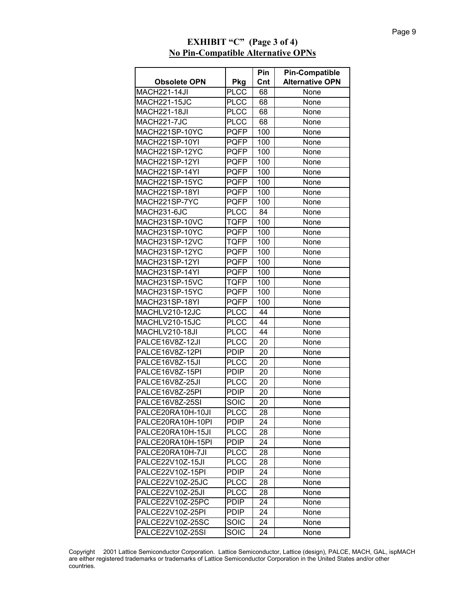|                     |             | Pin | <b>Pin-Compatible</b>  |
|---------------------|-------------|-----|------------------------|
| <b>Obsolete OPN</b> | Pkg         | Cnt | <b>Alternative OPN</b> |
| <b>MACH221-14JI</b> | <b>PLCC</b> | 68  | None                   |
| <b>MACH221-15JC</b> | <b>PLCC</b> | 68  | None                   |
| MACH221-18JI        | <b>PLCC</b> | 68  | None                   |
| MACH221-7JC         | <b>PLCC</b> | 68  | None                   |
| MACH221SP-10YC      | <b>PQFP</b> | 100 | None                   |
| MACH221SP-10YI      | <b>PQFP</b> | 100 | None                   |
| MACH221SP-12YC      | PQFP        | 100 | None                   |
| MACH221SP-12YI      | <b>PQFP</b> | 100 | None                   |
| MACH221SP-14YI      | <b>PQFP</b> | 100 | None                   |
| MACH221SP-15YC      | <b>PQFP</b> | 100 | None                   |
| MACH221SP-18YI      | <b>PQFP</b> | 100 | None                   |
| MACH221SP-7YC       | <b>PQFP</b> | 100 | None                   |
| MACH231-6JC         | <b>PLCC</b> | 84  | None                   |
| MACH231SP-10VC      | TQFP        | 100 | None                   |
| MACH231SP-10YC      | <b>PQFP</b> | 100 | None                   |
| MACH231SP-12VC      | <b>TQFP</b> | 100 | None                   |
| MACH231SP-12YC      | <b>PQFP</b> | 100 | None                   |
| MACH231SP-12YI      | PQFP        | 100 | None                   |
| MACH231SP-14YI      | <b>PQFP</b> | 100 | None                   |
| MACH231SP-15VC      | <b>TQFP</b> | 100 | None                   |
| MACH231SP-15YC      | <b>PQFP</b> | 100 | None                   |
| MACH231SP-18YI      | <b>PQFP</b> | 100 | None                   |
| MACHLV210-12JC      | <b>PLCC</b> | 44  | None                   |
| MACHLV210-15JC      | <b>PLCC</b> | 44  | None                   |
| MACHLV210-18JI      | <b>PLCC</b> | 44  | None                   |
| PALCE16V8Z-12JI     | <b>PLCC</b> | 20  | None                   |
| PALCE16V8Z-12PI     | <b>PDIP</b> | 20  | None                   |
| PALCE16V8Z-15JI     | <b>PLCC</b> | 20  | None                   |
| PALCE16V8Z-15PI     | <b>PDIP</b> | 20  | None                   |
| PALCE16V8Z-25JI     | <b>PLCC</b> | 20  | None                   |
| PALCE16V8Z-25PI     | <b>PDIP</b> | 20  | None                   |
| PALCE16V8Z-25SI     | SOIC        | 20  | None                   |
| PALCE20RA10H-10JI   | <b>PLCC</b> | 28  | None                   |
| PALCE20RA10H-10PI   | <b>PDIP</b> | 24  | None                   |
| PALCE20RA10H-15JI   | <b>PLCC</b> | 28  | None                   |
| PALCE20RA10H-15PI   | <b>PDIP</b> | 24  | None                   |
| PALCE20RA10H-7JI    | <b>PLCC</b> | 28  | None                   |
| PALCE22V10Z-15JI    | <b>PLCC</b> | 28  | None                   |
| PALCE22V10Z-15PI    | <b>PDIP</b> | 24  | None                   |
| PALCE22V10Z-25JC    | <b>PLCC</b> | 28  | None                   |
| PALCE22V10Z-25JI    | <b>PLCC</b> | 28  | None                   |
| PALCE22V10Z-25PC    | PDIP.       | 24  | None                   |
| PALCE22V10Z-25PI    | <b>PDIP</b> | 24  | None                   |
| PALCE22V10Z-25SC    | SOIC        | 24  | None                   |
| PALCE22V10Z-25SI    | SOIC        | 24  | None                   |

## **EXHIBIT "C" (Page 3 of 4) No Pin-Compatible Alternative OPNs**